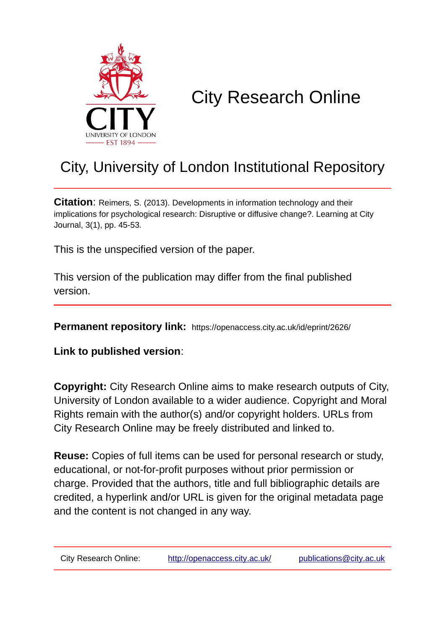

# City Research Online

## City, University of London Institutional Repository

**Citation**: Reimers, S. (2013). Developments in information technology and their implications for psychological research: Disruptive or diffusive change?. Learning at City Journal, 3(1), pp. 45-53.

This is the unspecified version of the paper.

This version of the publication may differ from the final published version.

**Permanent repository link:** https://openaccess.city.ac.uk/id/eprint/2626/

**Link to published version**:

**Copyright:** City Research Online aims to make research outputs of City, University of London available to a wider audience. Copyright and Moral Rights remain with the author(s) and/or copyright holders. URLs from City Research Online may be freely distributed and linked to.

**Reuse:** Copies of full items can be used for personal research or study, educational, or not-for-profit purposes without prior permission or charge. Provided that the authors, title and full bibliographic details are credited, a hyperlink and/or URL is given for the original metadata page and the content is not changed in any way.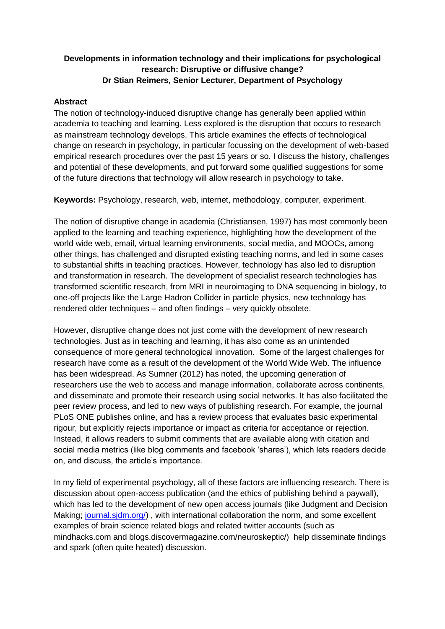### **Developments in information technology and their implications for psychological research: Disruptive or diffusive change? Dr Stian Reimers, Senior Lecturer, Department of Psychology**

#### **Abstract**

The notion of technology-induced disruptive change has generally been applied within academia to teaching and learning. Less explored is the disruption that occurs to research as mainstream technology develops. This article examines the effects of technological change on research in psychology, in particular focussing on the development of web-based empirical research procedures over the past 15 years or so. I discuss the history, challenges and potential of these developments, and put forward some qualified suggestions for some of the future directions that technology will allow research in psychology to take.

**Keywords:** Psychology, research, web, internet, methodology, computer, experiment.

The notion of disruptive change in academia (Christiansen, 1997) has most commonly been applied to the learning and teaching experience, highlighting how the development of the world wide web, email, virtual learning environments, social media, and MOOCs, among other things, has challenged and disrupted existing teaching norms, and led in some cases to substantial shifts in teaching practices. However, technology has also led to disruption and transformation in research. The development of specialist research technologies has transformed scientific research, from MRI in neuroimaging to DNA sequencing in biology, to one-off projects like the Large Hadron Collider in particle physics, new technology has rendered older techniques – and often findings – very quickly obsolete.

However, disruptive change does not just come with the development of new research technologies. Just as in teaching and learning, it has also come as an unintended consequence of more general technological innovation. Some of the largest challenges for research have come as a result of the development of the World Wide Web. The influence has been widespread. As Sumner (2012) has noted, the upcoming generation of researchers use the web to access and manage information, collaborate across continents, and disseminate and promote their research using social networks. It has also facilitated the peer review process, and led to new ways of publishing research. For example, the journal PLoS ONE publishes online, and has a review process that evaluates basic experimental rigour, but explicitly rejects importance or impact as criteria for acceptance or rejection. Instead, it allows readers to submit comments that are available along with citation and social media metrics (like blog comments and facebook 'shares'), which lets readers decide on, and discuss, the article's importance.

In my field of experimental psychology, all of these factors are influencing research. There is discussion about open-access publication (and the ethics of publishing behind a paywall), which has led to the development of new open access journals (like Judgment and Decision Making; [journal.sjdm.org/\)](http://journal.sjdm.org/), with international collaboration the norm, and some excellent examples of brain science related blogs and related twitter accounts (such as mindhacks.com and blogs.discovermagazine.com/neuroskeptic/) help disseminate findings and spark (often quite heated) discussion.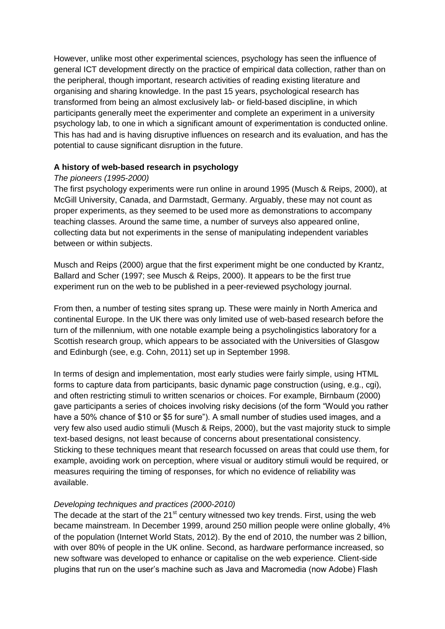However, unlike most other experimental sciences, psychology has seen the influence of general ICT development directly on the practice of empirical data collection, rather than on the peripheral, though important, research activities of reading existing literature and organising and sharing knowledge. In the past 15 years, psychological research has transformed from being an almost exclusively lab- or field-based discipline, in which participants generally meet the experimenter and complete an experiment in a university psychology lab, to one in which a significant amount of experimentation is conducted online. This has had and is having disruptive influences on research and its evaluation, and has the potential to cause significant disruption in the future.

#### **A history of web-based research in psychology**

#### *The pioneers (1995-2000)*

The first psychology experiments were run online in around 1995 (Musch & Reips, 2000), at McGill University, Canada, and Darmstadt, Germany. Arguably, these may not count as proper experiments, as they seemed to be used more as demonstrations to accompany teaching classes. Around the same time, a number of surveys also appeared online, collecting data but not experiments in the sense of manipulating independent variables between or within subjects.

Musch and Reips (2000) argue that the first experiment might be one conducted by Krantz, Ballard and Scher (1997; see Musch & Reips, 2000). It appears to be the first true experiment run on the web to be published in a peer-reviewed psychology journal.

From then, a number of testing sites sprang up. These were mainly in North America and continental Europe. In the UK there was only limited use of web-based research before the turn of the millennium, with one notable example being a psycholingistics laboratory for a Scottish research group, which appears to be associated with the Universities of Glasgow and Edinburgh (see, e.g. Cohn, 2011) set up in September 1998.

In terms of design and implementation, most early studies were fairly simple, using HTML forms to capture data from participants, basic dynamic page construction (using, e.g., cgi), and often restricting stimuli to written scenarios or choices. For example, Birnbaum (2000) gave participants a series of choices involving risky decisions (of the form "Would you rather have a 50% chance of \$10 or \$5 for sure"). A small number of studies used images, and a very few also used audio stimuli (Musch & Reips, 2000), but the vast majority stuck to simple text-based designs, not least because of concerns about presentational consistency. Sticking to these techniques meant that research focussed on areas that could use them, for example, avoiding work on perception, where visual or auditory stimuli would be required, or measures requiring the timing of responses, for which no evidence of reliability was available.

#### *Developing techniques and practices (2000-2010)*

The decade at the start of the  $21<sup>st</sup>$  century witnessed two key trends. First, using the web became mainstream. In December 1999, around 250 million people were online globally, 4% of the population (Internet World Stats, 2012). By the end of 2010, the number was 2 billion, with over 80% of people in the UK online. Second, as hardware performance increased, so new software was developed to enhance or capitalise on the web experience. Client-side plugins that run on the user's machine such as Java and Macromedia (now Adobe) Flash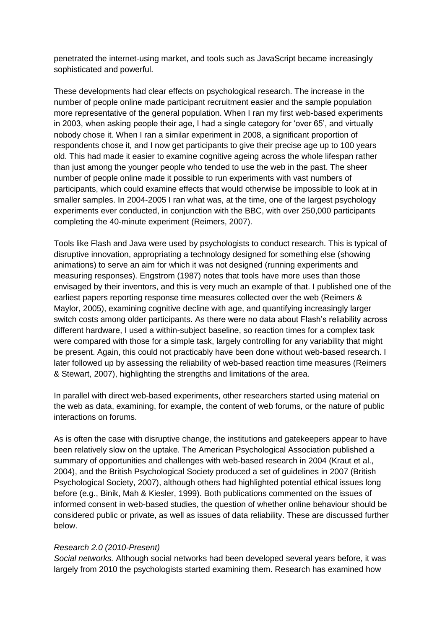penetrated the internet-using market, and tools such as JavaScript became increasingly sophisticated and powerful.

These developments had clear effects on psychological research. The increase in the number of people online made participant recruitment easier and the sample population more representative of the general population. When I ran my first web-based experiments in 2003, when asking people their age, I had a single category for 'over 65', and virtually nobody chose it. When I ran a similar experiment in 2008, a significant proportion of respondents chose it, and I now get participants to give their precise age up to 100 years old. This had made it easier to examine cognitive ageing across the whole lifespan rather than just among the younger people who tended to use the web in the past. The sheer number of people online made it possible to run experiments with vast numbers of participants, which could examine effects that would otherwise be impossible to look at in smaller samples. In 2004-2005 I ran what was, at the time, one of the largest psychology experiments ever conducted, in conjunction with the BBC, with over 250,000 participants completing the 40-minute experiment (Reimers, 2007).

Tools like Flash and Java were used by psychologists to conduct research. This is typical of disruptive innovation, appropriating a technology designed for something else (showing animations) to serve an aim for which it was not designed (running experiments and measuring responses). Engstrom (1987) notes that tools have more uses than those envisaged by their inventors, and this is very much an example of that. I published one of the earliest papers reporting response time measures collected over the web (Reimers & Maylor, 2005), examining cognitive decline with age, and quantifying increasingly larger switch costs among older participants. As there were no data about Flash's reliability across different hardware, I used a within-subject baseline, so reaction times for a complex task were compared with those for a simple task, largely controlling for any variability that might be present. Again, this could not practicably have been done without web-based research. I later followed up by assessing the reliability of web-based reaction time measures (Reimers & Stewart, 2007), highlighting the strengths and limitations of the area.

In parallel with direct web-based experiments, other researchers started using material on the web as data, examining, for example, the content of web forums, or the nature of public interactions on forums.

As is often the case with disruptive change, the institutions and gatekeepers appear to have been relatively slow on the uptake. The American Psychological Association published a summary of opportunities and challenges with web-based research in 2004 (Kraut et al., 2004), and the British Psychological Society produced a set of guidelines in 2007 (British Psychological Society, 2007), although others had highlighted potential ethical issues long before (e.g., Binik, Mah & Kiesler, 1999). Both publications commented on the issues of informed consent in web-based studies, the question of whether online behaviour should be considered public or private, as well as issues of data reliability. These are discussed further below.

#### *Research 2.0 (2010-Present)*

*Social networks.* Although social networks had been developed several years before, it was largely from 2010 the psychologists started examining them. Research has examined how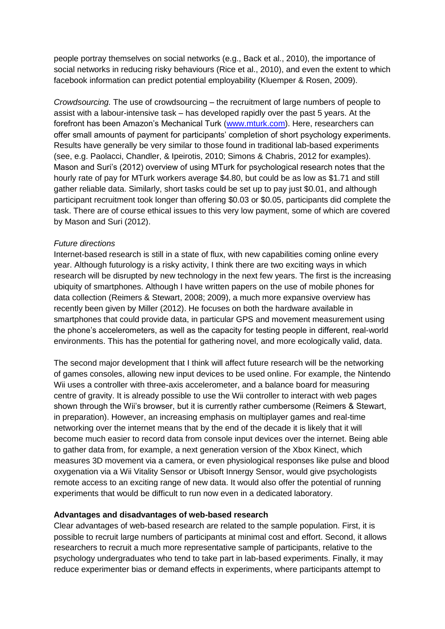people portray themselves on social networks (e.g., Back et al., 2010), the importance of social networks in reducing risky behaviours (Rice et al., 2010), and even the extent to which facebook information can predict potential employability (Kluemper & Rosen, 2009).

*Crowdsourcing.* The use of crowdsourcing – the recruitment of large numbers of people to assist with a labour-intensive task – has developed rapidly over the past 5 years. At the forefront has been Amazon's Mechanical Turk [\(www.mturk.com\)](http://www.mturk.com/). Here, researchers can offer small amounts of payment for participants' completion of short psychology experiments. Results have generally be very similar to those found in traditional lab-based experiments (see, e.g. Paolacci, Chandler, & Ipeirotis, 2010; Simons & Chabris, 2012 for examples). Mason and Suri's (2012) overview of using MTurk for psychological research notes that the hourly rate of pay for MTurk workers average \$4.80, but could be as low as \$1.71 and still gather reliable data. Similarly, short tasks could be set up to pay just \$0.01, and although participant recruitment took longer than offering \$0.03 or \$0.05, participants did complete the task. There are of course ethical issues to this very low payment, some of which are covered by Mason and Suri (2012).

#### *Future directions*

Internet-based research is still in a state of flux, with new capabilities coming online every year. Although futurology is a risky activity, I think there are two exciting ways in which research will be disrupted by new technology in the next few years. The first is the increasing ubiquity of smartphones. Although I have written papers on the use of mobile phones for data collection (Reimers & Stewart, 2008; 2009), a much more expansive overview has recently been given by Miller (2012). He focuses on both the hardware available in smartphones that could provide data, in particular GPS and movement measurement using the phone's accelerometers, as well as the capacity for testing people in different, real-world environments. This has the potential for gathering novel, and more ecologically valid, data.

The second major development that I think will affect future research will be the networking of games consoles, allowing new input devices to be used online. For example, the Nintendo Wii uses a controller with three-axis accelerometer, and a balance board for measuring centre of gravity. It is already possible to use the Wii controller to interact with web pages shown through the Wii's browser, but it is currently rather cumbersome (Reimers & Stewart, in preparation). However, an increasing emphasis on multiplayer games and real-time networking over the internet means that by the end of the decade it is likely that it will become much easier to record data from console input devices over the internet. Being able to gather data from, for example, a next generation version of the Xbox Kinect, which measures 3D movement via a camera, or even physiological responses like pulse and blood oxygenation via a Wii Vitality Sensor or Ubisoft Innergy Sensor, would give psychologists remote access to an exciting range of new data. It would also offer the potential of running experiments that would be difficult to run now even in a dedicated laboratory.

#### **Advantages and disadvantages of web-based research**

Clear advantages of web-based research are related to the sample population. First, it is possible to recruit large numbers of participants at minimal cost and effort. Second, it allows researchers to recruit a much more representative sample of participants, relative to the psychology undergraduates who tend to take part in lab-based experiments. Finally, it may reduce experimenter bias or demand effects in experiments, where participants attempt to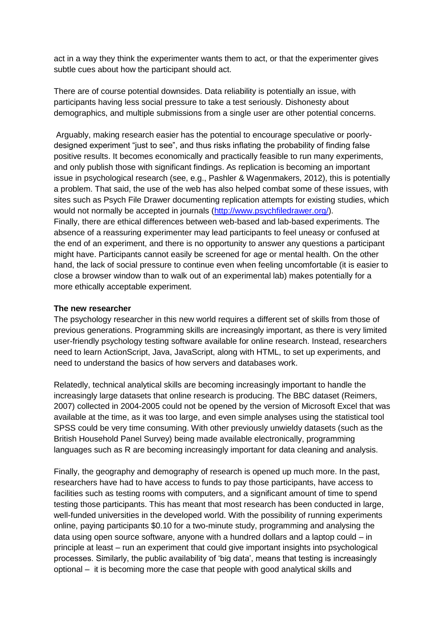act in a way they think the experimenter wants them to act, or that the experimenter gives subtle cues about how the participant should act.

There are of course potential downsides. Data reliability is potentially an issue, with participants having less social pressure to take a test seriously. Dishonesty about demographics, and multiple submissions from a single user are other potential concerns.

Arguably, making research easier has the potential to encourage speculative or poorlydesigned experiment "just to see", and thus risks inflating the probability of finding false positive results. It becomes economically and practically feasible to run many experiments, and only publish those with significant findings. As replication is becoming an important issue in psychological research (see, e.g., Pashler & Wagenmakers, 2012), this is potentially a problem. That said, the use of the web has also helped combat some of these issues, with sites such as Psych File Drawer documenting replication attempts for existing studies, which would not normally be accepted in journals [\(http://www.psychfiledrawer.org/\)](http://www.psychfiledrawer.org/). Finally, there are ethical differences between web-based and lab-based experiments. The absence of a reassuring experimenter may lead participants to feel uneasy or confused at the end of an experiment, and there is no opportunity to answer any questions a participant might have. Participants cannot easily be screened for age or mental health. On the other hand, the lack of social pressure to continue even when feeling uncomfortable (it is easier to close a browser window than to walk out of an experimental lab) makes potentially for a more ethically acceptable experiment.

#### **The new researcher**

The psychology researcher in this new world requires a different set of skills from those of previous generations. Programming skills are increasingly important, as there is very limited user-friendly psychology testing software available for online research. Instead, researchers need to learn ActionScript, Java, JavaScript, along with HTML, to set up experiments, and need to understand the basics of how servers and databases work.

Relatedly, technical analytical skills are becoming increasingly important to handle the increasingly large datasets that online research is producing. The BBC dataset (Reimers, 2007) collected in 2004-2005 could not be opened by the version of Microsoft Excel that was available at the time, as it was too large, and even simple analyses using the statistical tool SPSS could be very time consuming. With other previously unwieldy datasets (such as the British Household Panel Survey) being made available electronically, programming languages such as R are becoming increasingly important for data cleaning and analysis.

Finally, the geography and demography of research is opened up much more. In the past, researchers have had to have access to funds to pay those participants, have access to facilities such as testing rooms with computers, and a significant amount of time to spend testing those participants. This has meant that most research has been conducted in large, well-funded universities in the developed world. With the possibility of running experiments online, paying participants \$0.10 for a two-minute study, programming and analysing the data using open source software, anyone with a hundred dollars and a laptop could – in principle at least – run an experiment that could give important insights into psychological processes. Similarly, the public availability of 'big data', means that testing is increasingly optional – it is becoming more the case that people with good analytical skills and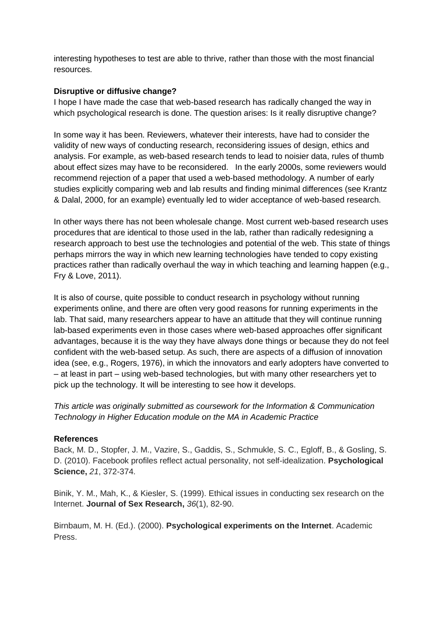interesting hypotheses to test are able to thrive, rather than those with the most financial resources.

#### **Disruptive or diffusive change?**

I hope I have made the case that web-based research has radically changed the way in which psychological research is done. The question arises: Is it really disruptive change?

In some way it has been. Reviewers, whatever their interests, have had to consider the validity of new ways of conducting research, reconsidering issues of design, ethics and analysis. For example, as web-based research tends to lead to noisier data, rules of thumb about effect sizes may have to be reconsidered. In the early 2000s, some reviewers would recommend rejection of a paper that used a web-based methodology. A number of early studies explicitly comparing web and lab results and finding minimal differences (see Krantz & Dalal, 2000, for an example) eventually led to wider acceptance of web-based research.

In other ways there has not been wholesale change. Most current web-based research uses procedures that are identical to those used in the lab, rather than radically redesigning a research approach to best use the technologies and potential of the web. This state of things perhaps mirrors the way in which new learning technologies have tended to copy existing practices rather than radically overhaul the way in which teaching and learning happen (e.g., Fry & Love, 2011).

It is also of course, quite possible to conduct research in psychology without running experiments online, and there are often very good reasons for running experiments in the lab. That said, many researchers appear to have an attitude that they will continue running lab-based experiments even in those cases where web-based approaches offer significant advantages, because it is the way they have always done things or because they do not feel confident with the web-based setup. As such, there are aspects of a diffusion of innovation idea (see, e.g., Rogers, 1976), in which the innovators and early adopters have converted to – at least in part – using web-based technologies, but with many other researchers yet to pick up the technology. It will be interesting to see how it develops.

*This article was originally submitted as coursework for the Information & Communication Technology in Higher Education module on the MA in Academic Practice*

#### **References**

Back, M. D., Stopfer, J. M., Vazire, S., Gaddis, S., Schmukle, S. C., Egloff, B., & Gosling, S. D. (2010). Facebook profiles reflect actual personality, not self-idealization. **Psychological Science,** *21*, 372-374.

Binik, Y. M., Mah, K., & Kiesler, S. (1999). Ethical issues in conducting sex research on the Internet. **Journal of Sex Research,** *36*(1), 82-90.

Birnbaum, M. H. (Ed.). (2000). **Psychological experiments on the Internet**. Academic Press.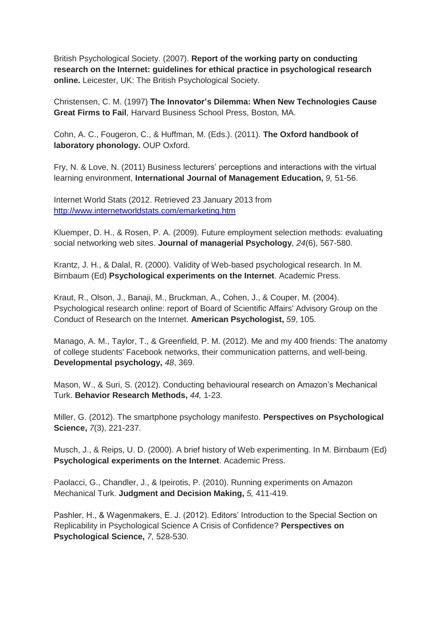British Psychological Society. (2007). **Report of the working party on conducting research on the Internet: guidelines for ethical practice in psychological research online.** Leicester, UK: The British Psychological Society.

Christensen, C. M. (1997) **The Innovator's Dilemma: When New Technologies Cause Great Firms to Fail**, Harvard Business School Press, Boston, MA.

Cohn, A. C., Fougeron, C., & Huffman, M. (Eds.). (2011). **The Oxford handbook of laboratory phonology.** OUP Oxford.

Fry, N. & Love, N. (2011) Business lecturers' perceptions and interactions with the virtual learning environment, **International Journal of Management Education,** *9,* 51-56.

Internet World Stats (2012. Retrieved 23 January 2013 from <http://www.internetworldstats.com/emarketing.htm>

Kluemper, D. H., & Rosen, P. A. (2009). Future employment selection methods: evaluating social networking web sites. **Journal of managerial Psychology**, *24*(6), 567-580.

Krantz, J. H., & Dalal, R. (2000). Validity of Web-based psychological research. In M. Birnbaum (Ed) **Psychological experiments on the Internet**. Academic Press.

Kraut, R., Olson, J., Banaji, M., Bruckman, A., Cohen, J., & Couper, M. (2004). Psychological research online: report of Board of Scientific Affairs' Advisory Group on the Conduct of Research on the Internet. **American Psychologist,** *59*, 105.

Manago, A. M., Taylor, T., & Greenfield, P. M. (2012). Me and my 400 friends: The anatomy of college students' Facebook networks, their communication patterns, and well-being. **Developmental psychology,** *48*, 369.

Mason, W., & Suri, S. (2012). Conducting behavioural research on Amazon's Mechanical Turk. **Behavior Research Methods,** *44,* 1-23.

Miller, G. (2012). The smartphone psychology manifesto. **Perspectives on Psychological Science,** *7*(3), 221-237.

Musch, J., & Reips, U. D. (2000). A brief history of Web experimenting. In M. Birnbaum (Ed) **Psychological experiments on the Internet**. Academic Press.

Paolacci, G., Chandler, J., & Ipeirotis, P. (2010). Running experiments on Amazon Mechanical Turk. **Judgment and Decision Making,** *5,* 411-419.

Pashler, H., & Wagenmakers, E. J. (2012). Editors' Introduction to the Special Section on Replicability in Psychological Science A Crisis of Confidence? **Perspectives on Psychological Science,** *7,* 528-530.